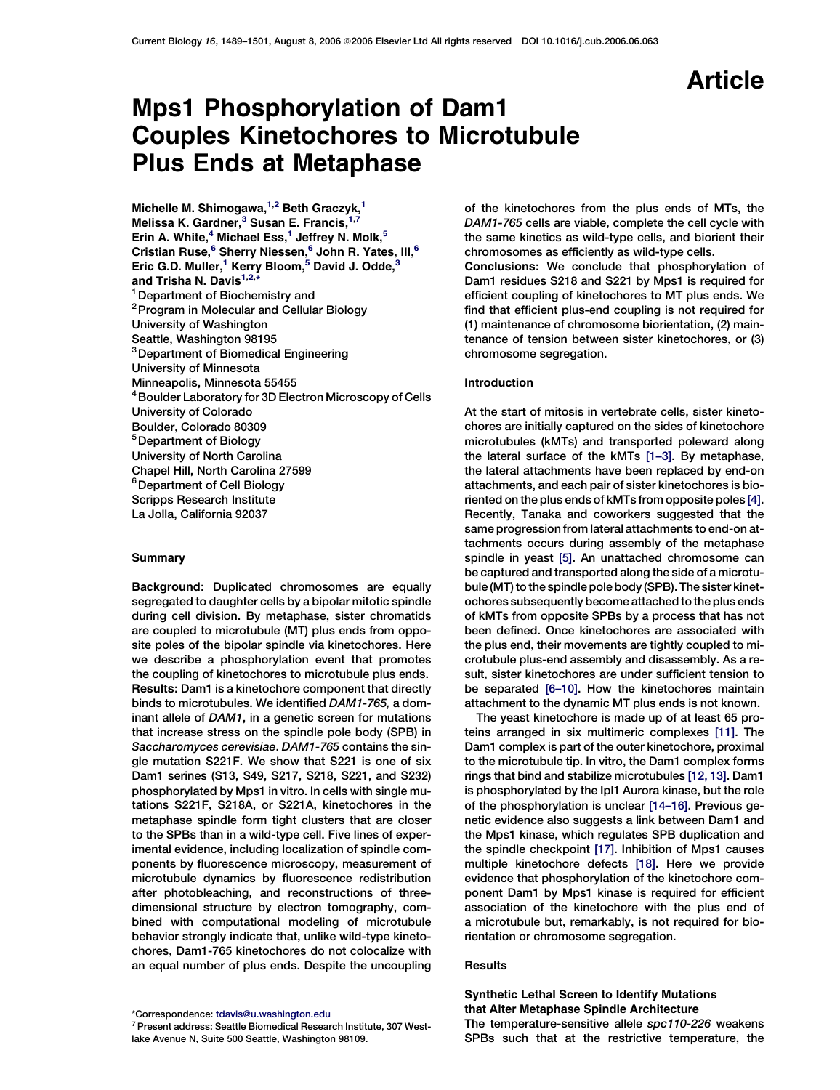# Article

# Mps1 Phosphorylation of Dam1 Couples Kinetochores to Microtubule Plus Ends at Metaphase

Michelle M. Shimogawa, $1,2$  Beth Graczyk, $1$ Melissa K. Gardner, $3$  Susan E. Francis, $1,7$ Erin A. White, $4$  Michael Ess, $1$  Jeffrey N. Molk, $5$ Cristian Ruse,<sup>6</sup> Sherry Niessen,<sup>6</sup> John R. Yates, III,<sup>6</sup> Eric G.D. Muller,<sup>1</sup> Kerry Bloom,<sup>5</sup> David J. Odde,<sup>3</sup> and Trisha N. Davis<sup>1,2,</sup>\* <sup>1</sup> Department of Biochemistry and <sup>2</sup> Program in Molecular and Cellular Biology University of Washington Seattle, Washington 98195 <sup>3</sup> Department of Biomedical Engineering University of Minnesota Minneapolis, Minnesota 55455 4Boulder Laboratory for 3D Electron Microscopy of Cells University of Colorado Boulder, Colorado 80309 5Department of Biology University of North Carolina Chapel Hill, North Carolina 27599 <sup>6</sup> Department of Cell Biology Scripps Research Institute La Jolla, California 92037

# **Summary**

Background: Duplicated chromosomes are equally segregated to daughter cells by a bipolar mitotic spindle during cell division. By metaphase, sister chromatids are coupled to microtubule (MT) plus ends from opposite poles of the bipolar spindle via kinetochores. Here we describe a phosphorylation event that promotes the coupling of kinetochores to microtubule plus ends. Results: Dam1 is a kinetochore component that directly binds to microtubules. We identified DAM1-765, a dominant allele of DAM1, in a genetic screen for mutations that increase stress on the spindle pole body (SPB) in Saccharomyces cerevisiae. DAM1-765 contains the single mutation S221F. We show that S221 is one of six Dam1 serines (S13, S49, S217, S218, S221, and S232) phosphorylated by Mps1 in vitro. In cells with single mutations S221F, S218A, or S221A, kinetochores in the metaphase spindle form tight clusters that are closer to the SPBs than in a wild-type cell. Five lines of experimental evidence, including localization of spindle components by fluorescence microscopy, measurement of microtubule dynamics by fluorescence redistribution after photobleaching, and reconstructions of threedimensional structure by electron tomography, combined with computational modeling of microtubule behavior strongly indicate that, unlike wild-type kinetochores, Dam1-765 kinetochores do not colocalize with an equal number of plus ends. Despite the uncoupling

\*Correspondence: [tdavis@u.washington.edu](mailto:tdavis@u.washington.edu)

of the kinetochores from the plus ends of MTs, the DAM1-765 cells are viable, complete the cell cycle with the same kinetics as wild-type cells, and biorient their chromosomes as efficiently as wild-type cells.

Conclusions: We conclude that phosphorylation of Dam1 residues S218 and S221 by Mps1 is required for efficient coupling of kinetochores to MT plus ends. We find that efficient plus-end coupling is not required for (1) maintenance of chromosome biorientation, (2) maintenance of tension between sister kinetochores, or (3) chromosome segregation.

## Introduction

At the start of mitosis in vertebrate cells, sister kinetochores are initially captured on the sides of kinetochore microtubules (kMTs) and transported poleward along the lateral surface of the kMTs [\[1–3\].](#page-10-0) By metaphase, the lateral attachments have been replaced by end-on attachments, and each pair of sister kinetochores is bioriented on the plus ends of kMTs from opposite poles [\[4\].](#page-11-0) Recently, Tanaka and coworkers suggested that the same progression from lateral attachments to end-on attachments occurs during assembly of the metaphase spindle in yeast [\[5\]](#page-11-0). An unattached chromosome can be captured and transported along the side of a microtubule (MT) to the spindle pole body (SPB). The sister kinetochores subsequently become attached to the plus ends of kMTs from opposite SPBs by a process that has not been defined. Once kinetochores are associated with the plus end, their movements are tightly coupled to microtubule plus-end assembly and disassembly. As a result, sister kinetochores are under sufficient tension to be separated [\[6–10\].](#page-11-0) How the kinetochores maintain attachment to the dynamic MT plus ends is not known.

The yeast kinetochore is made up of at least 65 proteins arranged in six multimeric complexes [\[11\].](#page-11-0) The Dam1 complex is part of the outer kinetochore, proximal to the microtubule tip. In vitro, the Dam1 complex forms rings that bind and stabilize microtubules [\[12, 13\].](#page-11-0) Dam1 is phosphorylated by the Ipl1 Aurora kinase, but the role of the phosphorylation is unclear [\[14–16\]](#page-11-0). Previous genetic evidence also suggests a link between Dam1 and the Mps1 kinase, which regulates SPB duplication and the spindle checkpoint [\[17\]](#page-11-0). Inhibition of Mps1 causes multiple kinetochore defects [\[18\].](#page-11-0) Here we provide evidence that phosphorylation of the kinetochore component Dam1 by Mps1 kinase is required for efficient association of the kinetochore with the plus end of a microtubule but, remarkably, is not required for biorientation or chromosome segregation.

## **Results**

# Synthetic Lethal Screen to Identify Mutations that Alter Metaphase Spindle Architecture

The temperature-sensitive allele spc110-226 weakens SPBs such that at the restrictive temperature, the

<sup>7</sup>Present address: Seattle Biomedical Research Institute, 307 Westlake Avenue N, Suite 500 Seattle, Washington 98109.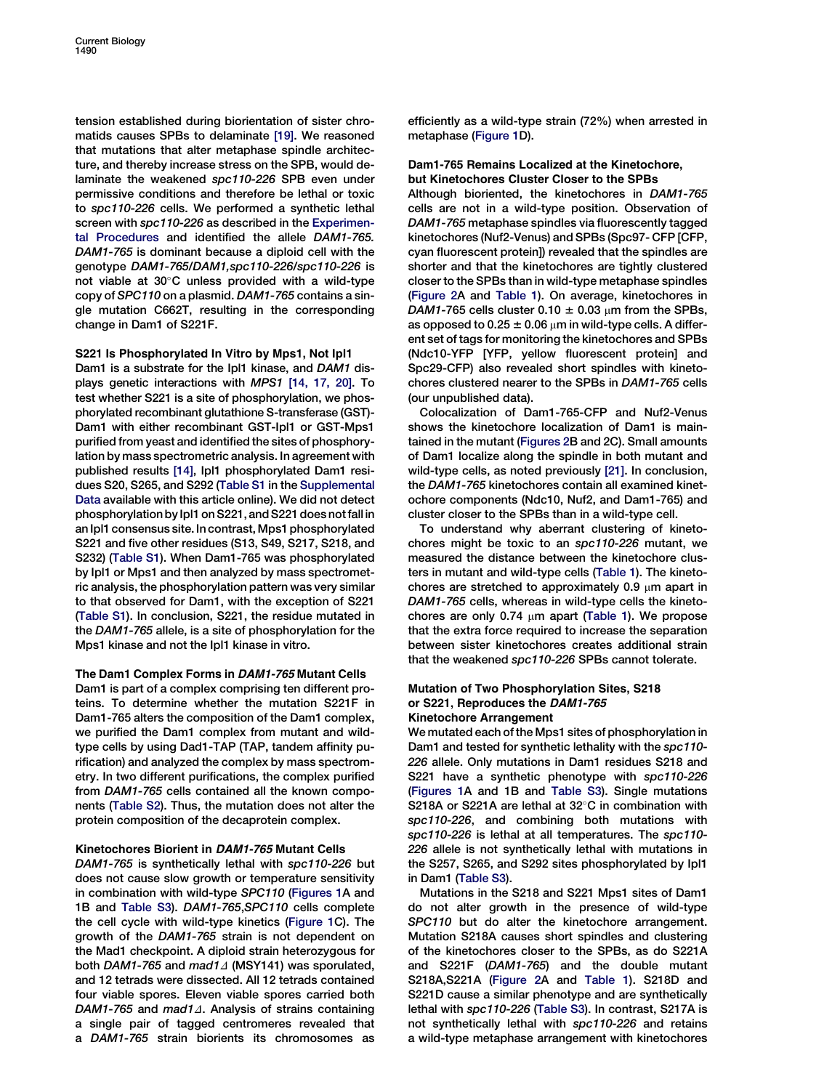tension established during biorientation of sister chromatids causes SPBs to delaminate [\[19\]](#page-11-0). We reasoned that mutations that alter metaphase spindle architecture, and thereby increase stress on the SPB, would delaminate the weakened spc110-226 SPB even under permissive conditions and therefore be lethal or toxic to spc110-226 cells. We performed a synthetic lethal screen with spc110-226 as described in the [Experimen](#page-10-0)[tal Procedures](#page-10-0) and identified the allele DAM1-765. DAM1-765 is dominant because a diploid cell with the genotype DAM1-765/DAM1,spc110-226/spc110-226 is not viable at  $30^{\circ}$ C unless provided with a wild-type copy of SPC110 on a plasmid. DAM1-765 contains a single mutation C662T, resulting in the corresponding change in Dam1 of S221F.

# S221 Is Phosphorylated In Vitro by Mps1, Not Ipl1

Dam1 is a substrate for the Ipl1 kinase, and DAM1 displays genetic interactions with MPS1 [\[14, 17, 20\].](#page-11-0) To test whether S221 is a site of phosphorylation, we phosphorylated recombinant glutathione S-transferase (GST)- Dam1 with either recombinant GST-Ipl1 or GST-Mps1 purified from yeast and identified the sites of phosphorylation by mass spectrometric analysis. In agreement with published results [\[14\],](#page-11-0) Ipl1 phosphorylated Dam1 residues S20, S265, and S292 [\(Table S1](#page-10-0) in the [Supplemental](#page-10-0) [Data](#page-10-0) available with this article online). We did not detect phosphorylation by Ipl1 on S221, and S221 does not fall in an Ipl1 consensus site. In contrast, Mps1 phosphorylated S221 and five other residues (S13, S49, S217, S218, and S232) ([Table S1\)](#page-10-0). When Dam1-765 was phosphorylated by Ipl1 or Mps1 and then analyzed by mass spectrometric analysis, the phosphorylation pattern was very similar to that observed for Dam1, with the exception of S221 [\(Table S1\)](#page-10-0). In conclusion, S221, the residue mutated in the DAM1-765 allele, is a site of phosphorylation for the Mps1 kinase and not the Ipl1 kinase in vitro.

## The Dam1 Complex Forms in DAM1-765 Mutant Cells

Dam1 is part of a complex comprising ten different proteins. To determine whether the mutation S221F in Dam1-765 alters the composition of the Dam1 complex, we purified the Dam1 complex from mutant and wildtype cells by using Dad1-TAP (TAP, tandem affinity purification) and analyzed the complex by mass spectrometry. In two different purifications, the complex purified from DAM1-765 cells contained all the known components ([Table S2](#page-10-0)). Thus, the mutation does not alter the protein composition of the decaprotein complex.

## Kinetochores Biorient in DAM1-765 Mutant Cells

DAM1-765 is synthetically lethal with spc110-226 but does not cause slow growth or temperature sensitivity in combination with wild-type SPC110 ([Figures 1](#page-2-0)A and 1B and [Table S3](#page-10-0)). DAM1-765,SPC110 cells complete the cell cycle with wild-type kinetics [\(Figure 1](#page-2-0)C). The growth of the DAM1-765 strain is not dependent on the Mad1 checkpoint. A diploid strain heterozygous for both DAM1-765 and mad1 $\Delta$  (MSY141) was sporulated, and 12 tetrads were dissected. All 12 tetrads contained four viable spores. Eleven viable spores carried both DAM1-765 and mad1 $\Delta$ . Analysis of strains containing a single pair of tagged centromeres revealed that a DAM1-765 strain biorients its chromosomes as

efficiently as a wild-type strain (72%) when arrested in metaphase [\(Figure 1D](#page-2-0)).

## Dam1-765 Remains Localized at the Kinetochore, but Kinetochores Cluster Closer to the SPBs

Although bioriented, the kinetochores in DAM1-765 cells are not in a wild-type position. Observation of DAM1-765 metaphase spindles via fluorescently tagged kinetochores (Nuf2-Venus) and SPBs (Spc97- CFP [CFP, cyan fluorescent protein]) revealed that the spindles are shorter and that the kinetochores are tightly clustered closer to the SPBs than in wild-type metaphase spindles [\(Figure 2](#page-3-0)A and [Table 1](#page-4-0)). On average, kinetochores in DAM1-765 cells cluster 0.10  $\pm$  0.03  $\mu$ m from the SPBs, as opposed to 0.25  $\pm$  0.06  $\mu$ m in wild-type cells. A different set of tags for monitoring the kinetochores and SPBs (Ndc10-YFP [YFP, yellow fluorescent protein] and Spc29-CFP) also revealed short spindles with kinetochores clustered nearer to the SPBs in DAM1-765 cells (our unpublished data).

Colocalization of Dam1-765-CFP and Nuf2-Venus shows the kinetochore localization of Dam1 is maintained in the mutant ([Figures 2](#page-3-0)B and 2C). Small amounts of Dam1 localize along the spindle in both mutant and wild-type cells, as noted previously [\[21\].](#page-11-0) In conclusion, the DAM1-765 kinetochores contain all examined kinetochore components (Ndc10, Nuf2, and Dam1-765) and cluster closer to the SPBs than in a wild-type cell.

To understand why aberrant clustering of kinetochores might be toxic to an spc110-226 mutant, we measured the distance between the kinetochore clusters in mutant and wild-type cells [\(Table 1\)](#page-4-0). The kinetochores are stretched to approximately 0.9  $\mu$ m apart in DAM1-765 cells, whereas in wild-type cells the kinetochores are only 0.74  $\mu$ m apart [\(Table 1](#page-4-0)). We propose that the extra force required to increase the separation between sister kinetochores creates additional strain that the weakened spc110-226 SPBs cannot tolerate.

# Mutation of Two Phosphorylation Sites, S218 or S221, Reproduces the DAM1-765 Kinetochore Arrangement

We mutated each of the Mps1 sites of phosphorylation in Dam1 and tested for synthetic lethality with the spc110- 226 allele. Only mutations in Dam1 residues S218 and S221 have a synthetic phenotype with spc110-226 [\(Figures 1](#page-2-0)A and 1B and [Table S3](#page-10-0)). Single mutations S218A or S221A are lethal at  $32^{\circ}$ C in combination with spc110-226, and combining both mutations with spc110-226 is lethal at all temperatures. The spc110- 226 allele is not synthetically lethal with mutations in the S257, S265, and S292 sites phosphorylated by Ipl1 in Dam1 [\(Table S3](#page-10-0)).

Mutations in the S218 and S221 Mps1 sites of Dam1 do not alter growth in the presence of wild-type SPC110 but do alter the kinetochore arrangement. Mutation S218A causes short spindles and clustering of the kinetochores closer to the SPBs, as do S221A and S221F (DAM1-765) and the double mutant S218A,S221A ([Figure 2A](#page-3-0) and [Table 1](#page-4-0)). S218D and S221D cause a similar phenotype and are synthetically lethal with spc110-226 ([Table S3](#page-10-0)). In contrast, S217A is not synthetically lethal with spc110-226 and retains a wild-type metaphase arrangement with kinetochores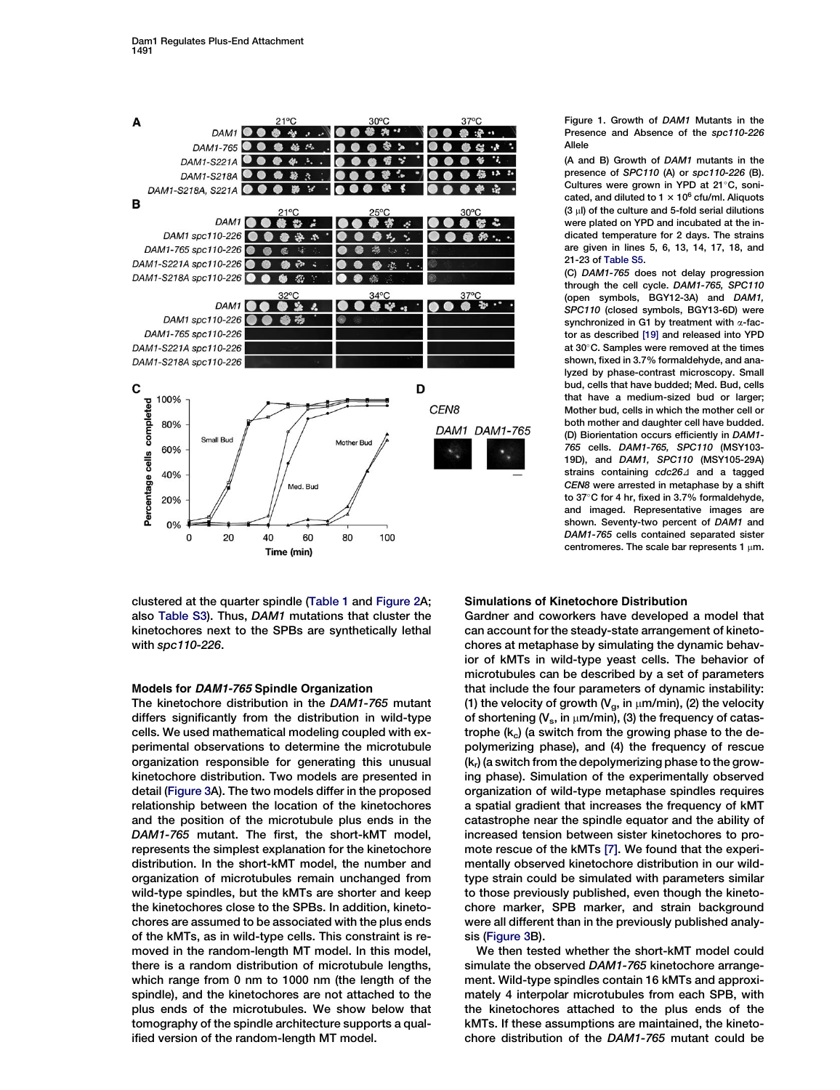<span id="page-2-0"></span>

clustered at the quarter spindle ([Table 1](#page-4-0) and [Figure 2A](#page-3-0); also [Table S3\)](#page-10-0). Thus, DAM1 mutations that cluster the kinetochores next to the SPBs are synthetically lethal with spc110-226.

## Models for DAM1-765 Spindle Organization

The kinetochore distribution in the DAM1-765 mutant differs significantly from the distribution in wild-type cells. We used mathematical modeling coupled with experimental observations to determine the microtubule organization responsible for generating this unusual kinetochore distribution. Two models are presented in detail [\(Figure 3](#page-5-0)A). The two models differ in the proposed relationship between the location of the kinetochores and the position of the microtubule plus ends in the DAM1-765 mutant. The first, the short-kMT model, represents the simplest explanation for the kinetochore distribution. In the short-kMT model, the number and organization of microtubules remain unchanged from wild-type spindles, but the kMTs are shorter and keep the kinetochores close to the SPBs. In addition, kinetochores are assumed to be associated with the plus ends of the kMTs, as in wild-type cells. This constraint is removed in the random-length MT model. In this model, there is a random distribution of microtubule lengths, which range from 0 nm to 1000 nm (the length of the spindle), and the kinetochores are not attached to the plus ends of the microtubules. We show below that tomography of the spindle architecture supports a qualified version of the random-length MT model.

## Figure 1. Growth of DAM1 Mutants in the Presence and Absence of the spc110-226 Allele

(A and B) Growth of DAM1 mutants in the presence of SPC110 (A) or spc110-226 (B). Cultures were grown in YPD at  $21^{\circ}$ C, sonicated, and diluted to  $1 \times 10^6$  cfu/ml. Aliquots  $(3 \mu)$  of the culture and 5-fold serial dilutions were plated on YPD and incubated at the indicated temperature for 2 days. The strains are given in lines 5, 6, 13, 14, 17, 18, and 21-23 of [Table S5.](#page-10-0)

(C) DAM1-765 does not delay progression through the cell cycle. DAM1-765, SPC110 (open symbols, BGY12-3A) and DAM1, SPC110 (closed symbols, BGY13-6D) were synchronized in G1 by treatment with  $\alpha$ -factor as described [\[19\]](#page-11-0) and released into YPD at 30°C. Samples were removed at the times shown, fixed in 3.7% formaldehyde, and analyzed by phase-contrast microscopy. Small bud, cells that have budded; Med. Bud, cells that have a medium-sized bud or larger: Mother bud, cells in which the mother cell or both mother and daughter cell have budded. (D) Biorientation occurs efficiently in DAM1- 765 cells. DAM1-765, SPC110 (MSY103- 19D), and DAM1, SPC110 (MSY105-29A) strains containing  $cdc26\Delta$  and a tagged CEN8 were arrested in metaphase by a shift to  $37^{\circ}$ C for 4 hr, fixed in 3.7% formaldehyde, and imaged. Representative images are shown. Seventy-two percent of DAM1 and DAM1-765 cells contained separated sister centromeres. The scale bar represents 1  $\mu$ m.

## Simulations of Kinetochore Distribution

Gardner and coworkers have developed a model that can account for the steady-state arrangement of kinetochores at metaphase by simulating the dynamic behavior of kMTs in wild-type yeast cells. The behavior of microtubules can be described by a set of parameters that include the four parameters of dynamic instability: (1) the velocity of growth ( $V_g$ , in  $\mu$ m/min), (2) the velocity of shortening ( $V_s$ , in  $\mu$ m/min), (3) the frequency of catastrophe  $(k_c)$  (a switch from the growing phase to the depolymerizing phase), and (4) the frequency of rescue  $(k<sub>r</sub>)$  (a switch from the depolymerizing phase to the growing phase). Simulation of the experimentally observed organization of wild-type metaphase spindles requires a spatial gradient that increases the frequency of kMT catastrophe near the spindle equator and the ability of increased tension between sister kinetochores to promote rescue of the kMTs [\[7\].](#page-11-0) We found that the experimentally observed kinetochore distribution in our wildtype strain could be simulated with parameters similar to those previously published, even though the kinetochore marker, SPB marker, and strain background were all different than in the previously published analysis [\(Figure 3](#page-5-0)B).

We then tested whether the short-kMT model could simulate the observed DAM1-765 kinetochore arrangement. Wild-type spindles contain 16 kMTs and approximately 4 interpolar microtubules from each SPB, with the kinetochores attached to the plus ends of the kMTs. If these assumptions are maintained, the kinetochore distribution of the DAM1-765 mutant could be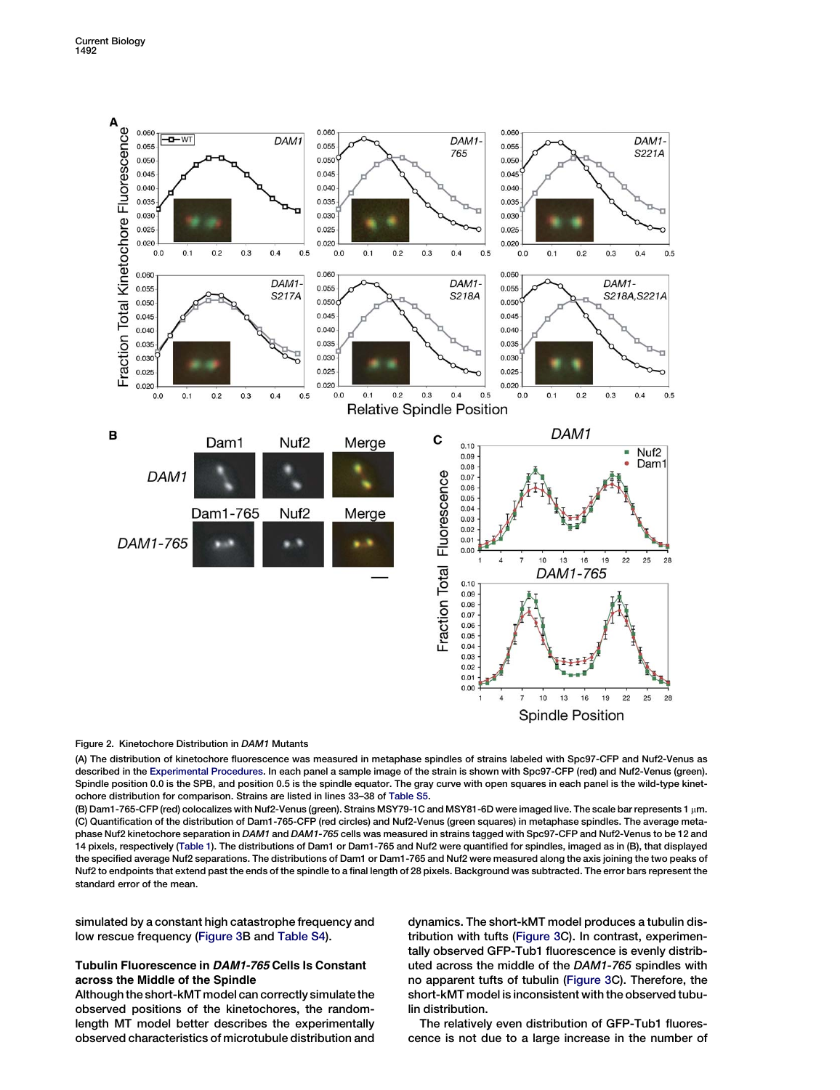<span id="page-3-0"></span>

## Figure 2. Kinetochore Distribution in DAM1 Mutants

(A) The distribution of kinetochore fluorescence was measured in metaphase spindles of strains labeled with Spc97-CFP and Nuf2-Venus as described in the [Experimental Procedures](#page-10-0). In each panel a sample image of the strain is shown with Spc97-CFP (red) and Nuf2-Venus (green). Spindle position 0.0 is the SPB, and position 0.5 is the spindle equator. The gray curve with open squares in each panel is the wild-type kinetochore distribution for comparison. Strains are listed in lines 33–38 of [Table S5.](#page-10-0)

(B) Dam1-765-CFP (red) colocalizes with Nuf2-Venus (green). Strains MSY79-1C and MSY81-6D were imaged live. The scale bar represents 1 µm. (C) Quantification of the distribution of Dam1-765-CFP (red circles) and Nuf2-Venus (green squares) in metaphase spindles. The average metaphase Nuf2 kinetochore separation in DAM1 and DAM1-765 cells was measured in strains tagged with Spc97-CFP and Nuf2-Venus to be 12 and 14 pixels, respectively [\(Table 1\)](#page-4-0). The distributions of Dam1 or Dam1-765 and Nuf2 were quantified for spindles, imaged as in (B), that displayed the specified average Nuf2 separations. The distributions of Dam1 or Dam1-765 and Nuf2 were measured along the axis joining the two peaks of Nuf2 to endpoints that extend past the ends of the spindle to a final length of 28 pixels. Background was subtracted. The error bars represent the standard error of the mean.

simulated by a constant high catastrophe frequency and low rescue frequency [\(Figure 3](#page-5-0)B and [Table S4\)](#page-10-0).

# Tubulin Fluorescence in DAM1-765 Cells Is Constant across the Middle of the Spindle

Although the short-kMT model can correctly simulate the observed positions of the kinetochores, the randomlength MT model better describes the experimentally observed characteristics of microtubule distribution and

dynamics. The short-kMT model produces a tubulin distribution with tufts [\(Figure 3C](#page-5-0)). In contrast, experimentally observed GFP-Tub1 fluorescence is evenly distributed across the middle of the DAM1-765 spindles with no apparent tufts of tubulin ([Figure 3](#page-5-0)C). Therefore, the short-kMT model is inconsistent with the observed tubulin distribution.

The relatively even distribution of GFP-Tub1 fluorescence is not due to a large increase in the number of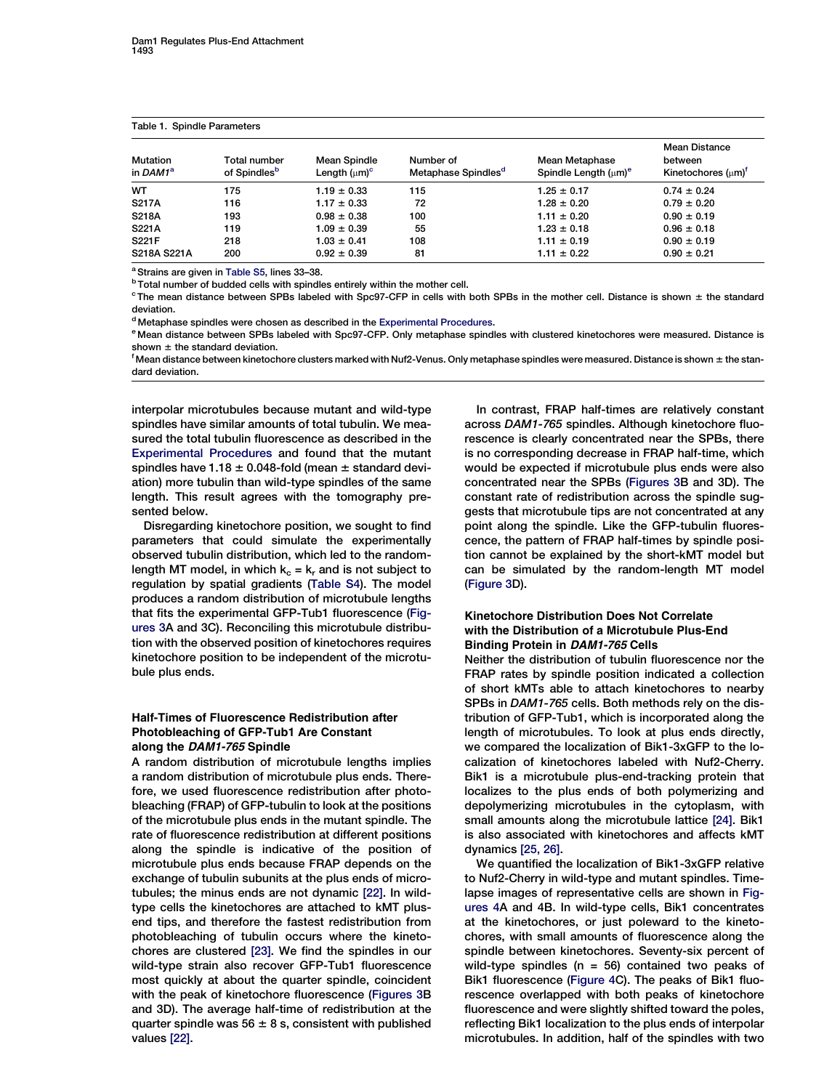<span id="page-4-0"></span>Table 1. Spindle Parameters

| <b>Mutation</b><br>in DAM1 <sup>a</sup> | Total number<br>of Spindles <sup>b</sup> | <b>Mean Spindle</b><br>Length $(\mu m)^c$ | Number of<br>Metaphase Spindles <sup>a</sup> | Mean Metaphase<br>Spindle Length $(\mu m)^e$ | <b>Mean Distance</b><br>between<br>Kinetochores $(\mu m)^T$ |
|-----------------------------------------|------------------------------------------|-------------------------------------------|----------------------------------------------|----------------------------------------------|-------------------------------------------------------------|
| <b>WT</b>                               | 175                                      | $1.19 \pm 0.33$                           | 115                                          | $1.25 \pm 0.17$                              | $0.74 \pm 0.24$                                             |
| <b>S217A</b>                            | 116                                      | $1.17 \pm 0.33$                           | 72                                           | $1.28 \pm 0.20$                              | $0.79 \pm 0.20$                                             |
| <b>S218A</b>                            | 193                                      | $0.98 \pm 0.38$                           | 100                                          | $1.11 \pm 0.20$                              | $0.90 \pm 0.19$                                             |
| S221A                                   | 119                                      | $1.09 \pm 0.39$                           | 55                                           | $1.23 \pm 0.18$                              | $0.96 \pm 0.18$                                             |
| S221F                                   | 218                                      | $1.03 \pm 0.41$                           | 108                                          | $1.11 \pm 0.19$                              | $0.90 \pm 0.19$                                             |
| S218A S221A                             | 200                                      | $0.92 \pm 0.39$                           | 81                                           | $1.11 \pm 0.22$                              | $0.90 \pm 0.21$                                             |

<sup>a</sup> Strains are given in [Table S5](#page-10-0), lines 33-38.

**b Total number of budded cells with spindles entirely within the mother cell.** 

 $c$  The mean distance between SPBs labeled with Spc97-CFP in cells with both SPBs in the mother cell. Distance is shown  $\pm$  the standard deviation.

<sup>d</sup> Metaphase spindles were chosen as described in the [Experimental Procedures.](#page-10-0)

<sup>e</sup> Mean distance between SPBs labeled with Spc97-CFP. Only metaphase spindles with clustered kinetochores were measured. Distance is shown  $\pm$  the standard deviation.

 $^{\rm f}$ Mean distance between kinetochore clusters marked with Nuf2-Venus. Only metaphase spindles were measured. Distance is shown  $\pm$  the standard deviation.

interpolar microtubules because mutant and wild-type spindles have similar amounts of total tubulin. We measured the total tubulin fluorescence as described in the [Experimental Procedures](#page-10-0) and found that the mutant spindles have  $1.18 \pm 0.048$ -fold (mean  $\pm$  standard deviation) more tubulin than wild-type spindles of the same length. This result agrees with the tomography presented below.

Disregarding kinetochore position, we sought to find parameters that could simulate the experimentally observed tubulin distribution, which led to the randomlength MT model, in which  $k_c = k_r$  and is not subject to regulation by spatial gradients [\(Table S4\)](#page-10-0). The model produces a random distribution of microtubule lengths that fits the experimental GFP-Tub1 fluorescence ([Fig](#page-5-0)[ures 3A](#page-5-0) and 3C). Reconciling this microtubule distribution with the observed position of kinetochores requires kinetochore position to be independent of the microtubule plus ends.

# Half-Times of Fluorescence Redistribution after Photobleaching of GFP-Tub1 Are Constant along the DAM1-765 Spindle

A random distribution of microtubule lengths implies a random distribution of microtubule plus ends. Therefore, we used fluorescence redistribution after photobleaching (FRAP) of GFP-tubulin to look at the positions of the microtubule plus ends in the mutant spindle. The rate of fluorescence redistribution at different positions along the spindle is indicative of the position of microtubule plus ends because FRAP depends on the exchange of tubulin subunits at the plus ends of microtubules; the minus ends are not dynamic [\[22\].](#page-11-0) In wildtype cells the kinetochores are attached to kMT plusend tips, and therefore the fastest redistribution from photobleaching of tubulin occurs where the kinetochores are clustered [\[23\].](#page-11-0) We find the spindles in our wild-type strain also recover GFP-Tub1 fluorescence most quickly at about the quarter spindle, coincident with the peak of kinetochore fluorescence [\(Figures 3B](#page-5-0) and 3D). The average half-time of redistribution at the quarter spindle was  $56 \pm 8$  s, consistent with published values [\[22\]](#page-11-0).

In contrast, FRAP half-times are relatively constant across DAM1-765 spindles. Although kinetochore fluorescence is clearly concentrated near the SPBs, there is no corresponding decrease in FRAP half-time, which would be expected if microtubule plus ends were also concentrated near the SPBs ([Figures 3B](#page-5-0) and 3D). The constant rate of redistribution across the spindle suggests that microtubule tips are not concentrated at any point along the spindle. Like the GFP-tubulin fluorescence, the pattern of FRAP half-times by spindle position cannot be explained by the short-kMT model but can be simulated by the random-length MT model [\(Figure 3D](#page-5-0)).

# Kinetochore Distribution Does Not Correlate with the Distribution of a Microtubule Plus-End Binding Protein in DAM1-765 Cells

Neither the distribution of tubulin fluorescence nor the FRAP rates by spindle position indicated a collection of short kMTs able to attach kinetochores to nearby SPBs in DAM1-765 cells. Both methods rely on the distribution of GFP-Tub1, which is incorporated along the length of microtubules. To look at plus ends directly, we compared the localization of Bik1-3xGFP to the localization of kinetochores labeled with Nuf2-Cherry. Bik1 is a microtubule plus-end-tracking protein that localizes to the plus ends of both polymerizing and depolymerizing microtubules in the cytoplasm, with small amounts along the microtubule lattice [\[24\]](#page-11-0). Bik1 is also associated with kinetochores and affects kMT dynamics [\[25, 26\]](#page-11-0).

We quantified the localization of Bik1-3xGFP relative to Nuf2-Cherry in wild-type and mutant spindles. Timelapse images of representative cells are shown in [Fig](#page-6-0)[ures 4A](#page-6-0) and 4B. In wild-type cells, Bik1 concentrates at the kinetochores, or just poleward to the kinetochores, with small amounts of fluorescence along the spindle between kinetochores. Seventy-six percent of wild-type spindles ( $n = 56$ ) contained two peaks of Bik1 fluorescence ([Figure 4](#page-6-0)C). The peaks of Bik1 fluorescence overlapped with both peaks of kinetochore fluorescence and were slightly shifted toward the poles, reflecting Bik1 localization to the plus ends of interpolar microtubules. In addition, half of the spindles with two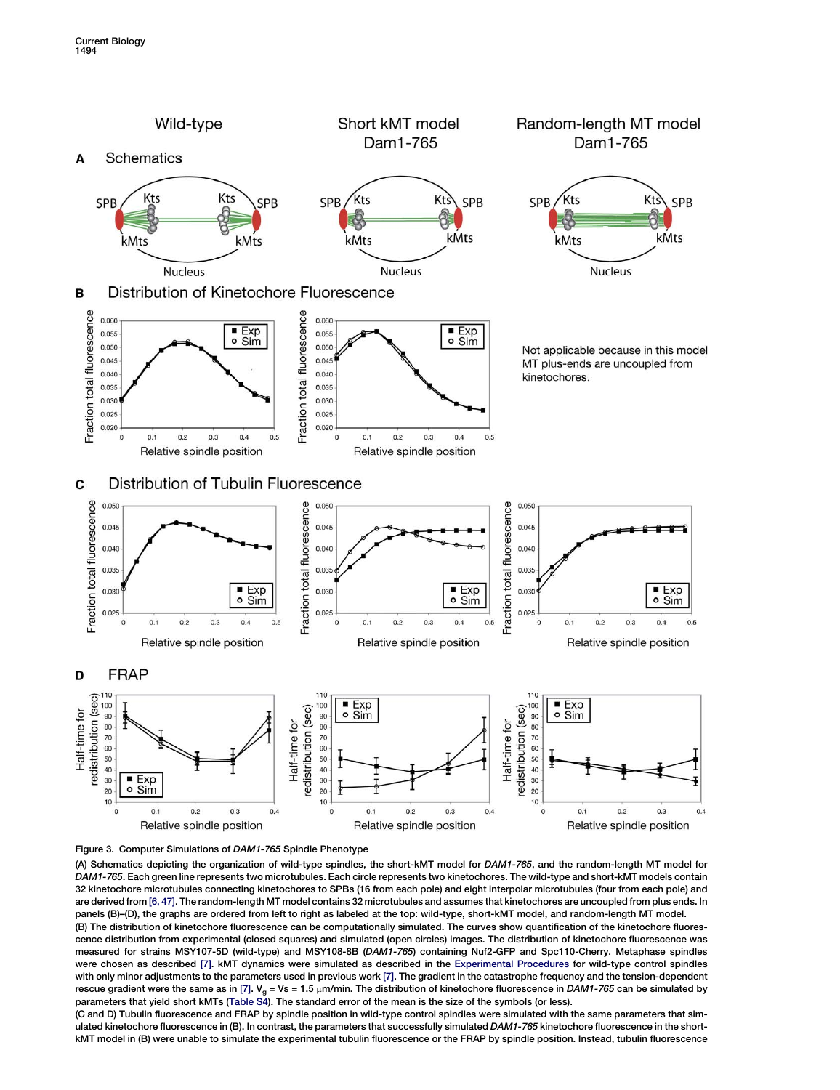<span id="page-5-0"></span>



(A) Schematics depicting the organization of wild-type spindles, the short-kMT model for DAM1-765, and the random-length MT model for DAM1-765. Each green line represents two microtubules. Each circle represents two kinetochores. The wild-type and short-kMT models contain 32 kinetochore microtubules connecting kinetochores to SPBs (16 from each pole) and eight interpolar microtubules (four from each pole) and are derived from [\[6, 47\].](#page-11-0) The random-length MT model contains 32 microtubules and assumes that kinetochores are uncoupled from plus ends. In panels (B)–(D), the graphs are ordered from left to right as labeled at the top: wild-type, short-kMT model, and random-length MT model.

(B) The distribution of kinetochore fluorescence can be computationally simulated. The curves show quantification of the kinetochore fluorescence distribution from experimental (closed squares) and simulated (open circles) images. The distribution of kinetochore fluorescence was measured for strains MSY107-5D (wild-type) and MSY108-8B (DAM1-765) containing Nuf2-GFP and Spc110-Cherry. Metaphase spindles were chosen as described [\[7\].](#page-11-0) kMT dynamics were simulated as described in the [Experimental Procedures](#page-10-0) for wild-type control spindles with only minor adjustments to the parameters used in previous work [\[7\]](#page-11-0). The gradient in the catastrophe frequency and the tension-dependent rescue gradient were the same as in [\[7\]](#page-11-0).  $V_{g} = Vs = 1.5 \mu m/min$ . The distribution of kinetochore fluorescence in DAM1-765 can be simulated by parameters that yield short kMTs [\(Table S4\)](#page-10-0). The standard error of the mean is the size of the symbols (or less).

(C and D) Tubulin fluorescence and FRAP by spindle position in wild-type control spindles were simulated with the same parameters that simulated kinetochore fluorescence in (B). In contrast, the parameters that successfully simulated DAM1-765 kinetochore fluorescence in the shortkMT model in (B) were unable to simulate the experimental tubulin fluorescence or the FRAP by spindle position. Instead, tubulin fluorescence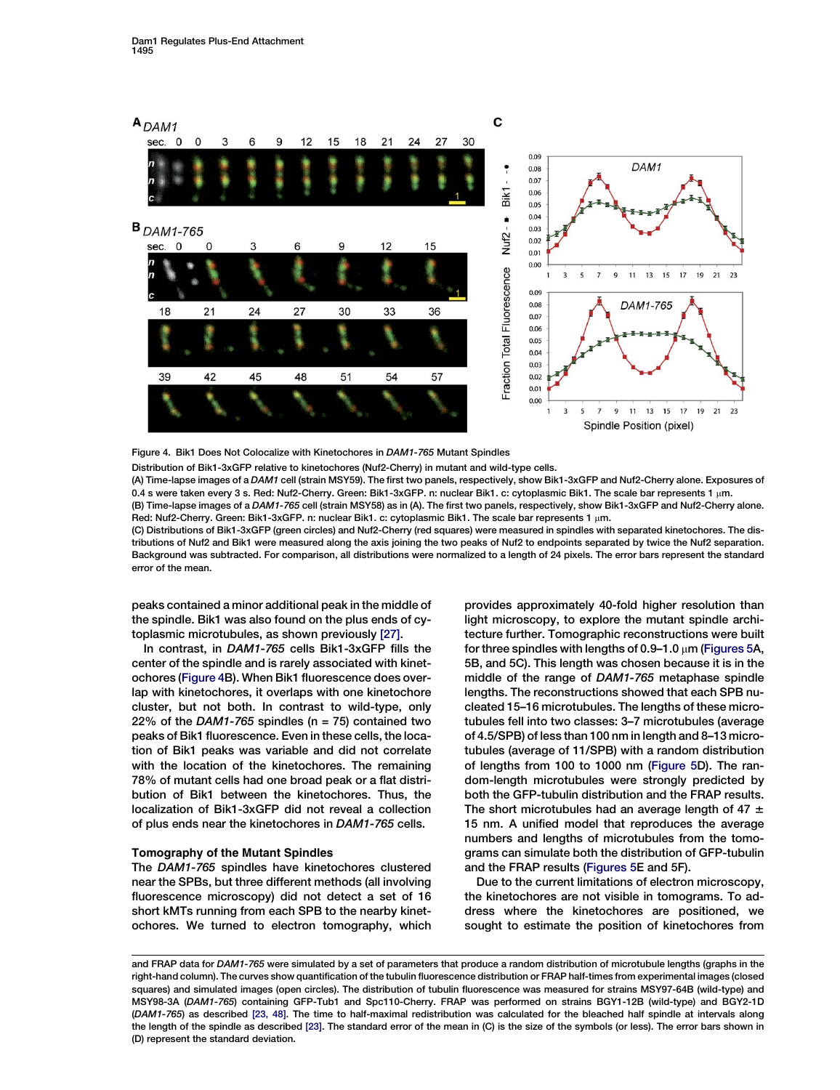<span id="page-6-0"></span>

Figure 4. Bik1 Does Not Colocalize with Kinetochores in DAM1-765 Mutant Spindles

Distribution of Bik1-3xGFP relative to kinetochores (Nuf2-Cherry) in mutant and wild-type cells.

(A) Time-lapse images of a DAM1 cell (strain MSY59). The first two panels, respectively, show Bik1-3xGFP and Nuf2-Cherry alone. Exposures of 0.4 s were taken every 3 s. Red: Nuf2-Cherry. Green: Bik1-3xGFP. n: nuclear Bik1. c: cytoplasmic Bik1. The scale bar represents 1 µm. (B) Time-lapse images of a DAM1-765 cell (strain MSY58) as in (A). The first two panels, respectively, show Bik1-3xGFP and Nuf2-Cherry alone.

Red: Nuf2-Cherry. Green: Bik1-3xGFP. n: nuclear Bik1. c: cytoplasmic Bik1. The scale bar represents 1 µm. (C) Distributions of Bik1-3xGFP (green circles) and Nuf2-Cherry (red squares) were measured in spindles with separated kinetochores. The distributions of Nuf2 and Bik1 were measured along the axis joining the two peaks of Nuf2 to endpoints separated by twice the Nuf2 separation. Background was subtracted. For comparison, all distributions were normalized to a length of 24 pixels. The error bars represent the standard error of the mean.

peaks contained a minor additional peak in the middle of the spindle. Bik1 was also found on the plus ends of cytoplasmic microtubules, as shown previously [\[27\]](#page-11-0).

In contrast, in DAM1-765 cells Bik1-3xGFP fills the center of the spindle and is rarely associated with kinetochores (Figure 4B). When Bik1 fluorescence does overlap with kinetochores, it overlaps with one kinetochore cluster, but not both. In contrast to wild-type, only 22% of the DAM1-765 spindles ( $n = 75$ ) contained two peaks of Bik1 fluorescence. Even in these cells, the location of Bik1 peaks was variable and did not correlate with the location of the kinetochores. The remaining 78% of mutant cells had one broad peak or a flat distribution of Bik1 between the kinetochores. Thus, the localization of Bik1-3xGFP did not reveal a collection of plus ends near the kinetochores in DAM1-765 cells.

## Tomography of the Mutant Spindles

The DAM1-765 spindles have kinetochores clustered near the SPBs, but three different methods (all involving fluorescence microscopy) did not detect a set of 16 short kMTs running from each SPB to the nearby kinetochores. We turned to electron tomography, which provides approximately 40-fold higher resolution than light microscopy, to explore the mutant spindle architecture further. Tomographic reconstructions were built for three spindles with lengths of 0.9-1.0  $\mu$ m ([Figures 5A](#page-7-0), 5B, and 5C). This length was chosen because it is in the middle of the range of DAM1-765 metaphase spindle lengths. The reconstructions showed that each SPB nucleated 15–16 microtubules. The lengths of these microtubules fell into two classes: 3–7 microtubules (average of 4.5/SPB) of less than 100 nm in length and 8–13 microtubules (average of 11/SPB) with a random distribution of lengths from 100 to 1000 nm ([Figure 5D](#page-7-0)). The random-length microtubules were strongly predicted by both the GFP-tubulin distribution and the FRAP results. The short microtubules had an average length of 47  $\pm$ 15 nm. A unified model that reproduces the average numbers and lengths of microtubules from the tomograms can simulate both the distribution of GFP-tubulin and the FRAP results [\(Figures 5](#page-7-0)E and 5F).

Due to the current limitations of electron microscopy, the kinetochores are not visible in tomograms. To address where the kinetochores are positioned, we sought to estimate the position of kinetochores from

and FRAP data for DAM1-765 were simulated by a set of parameters that produce a random distribution of microtubule lengths (graphs in the right-hand column). The curves show quantification of the tubulin fluorescence distribution or FRAP half-times from experimental images (closed squares) and simulated images (open circles). The distribution of tubulin fluorescence was measured for strains MSY97-64B (wild-type) and MSY98-3A (DAM1-765) containing GFP-Tub1 and Spc110-Cherry. FRAP was performed on strains BGY1-12B (wild-type) and BGY2-1D (DAM1-765) as described [\[23, 48\].](#page-11-0) The time to half-maximal redistribution was calculated for the bleached half spindle at intervals along the length of the spindle as described [\[23\]](#page-11-0). The standard error of the mean in (C) is the size of the symbols (or less). The error bars shown in (D) represent the standard deviation.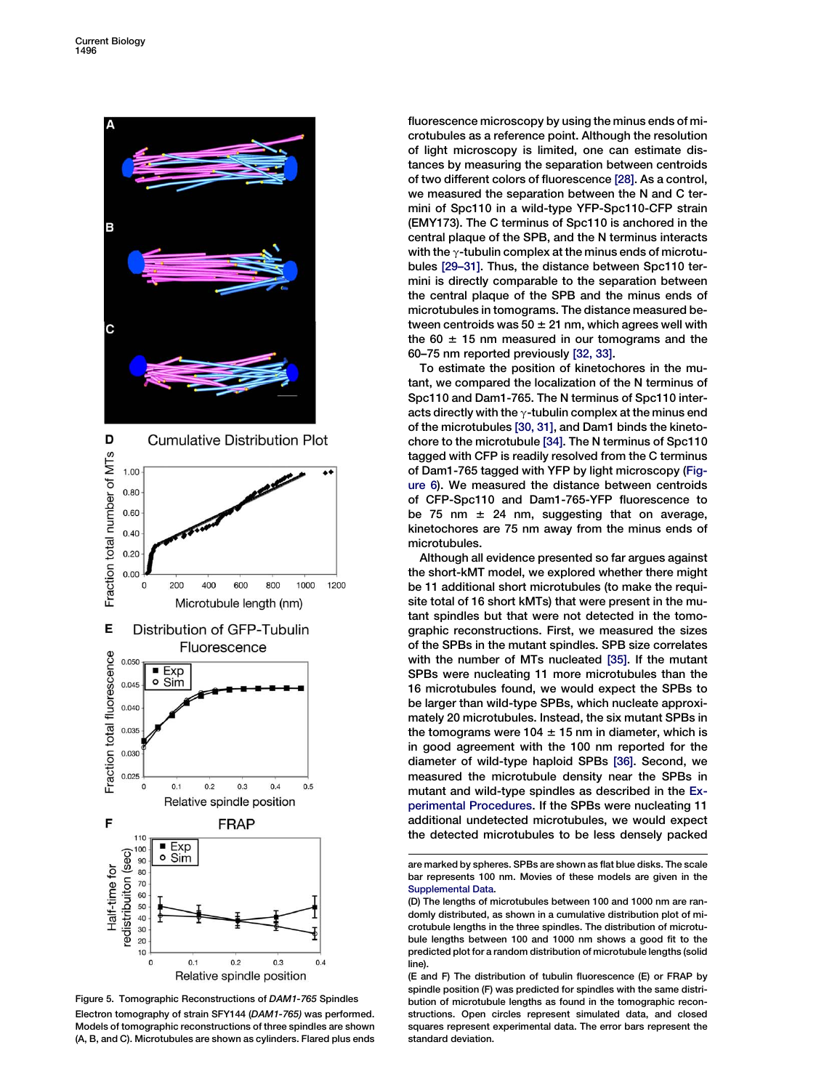<span id="page-7-0"></span>

Figure 5. Tomographic Reconstructions of DAM1-765 Spindles Electron tomography of strain SFY144 (DAM1-765) was performed. Models of tomographic reconstructions of three spindles are shown (A, B, and C). Microtubules are shown as cylinders. Flared plus ends

fluorescence microscopy by using the minus ends of microtubules as a reference point. Although the resolution of light microscopy is limited, one can estimate distances by measuring the separation between centroids of two different colors of fluorescence [\[28\].](#page-11-0) As a control, we measured the separation between the N and C termini of Spc110 in a wild-type YFP-Spc110-CFP strain (EMY173). The C terminus of Spc110 is anchored in the central plaque of the SPB, and the N terminus interacts with the  $\gamma$ -tubulin complex at the minus ends of microtubules [\[29–31\].](#page-11-0) Thus, the distance between Spc110 termini is directly comparable to the separation between the central plaque of the SPB and the minus ends of microtubules in tomograms. The distance measured between centroids was  $50 \pm 21$  nm, which agrees well with the 60  $\pm$  15 nm measured in our tomograms and the 60–75 nm reported previously [\[32, 33\].](#page-11-0)

To estimate the position of kinetochores in the mutant, we compared the localization of the N terminus of Spc110 and Dam1-765. The N terminus of Spc110 interacts directly with the  $\gamma$ -tubulin complex at the minus end of the microtubules [\[30, 31\],](#page-11-0) and Dam1 binds the kinetochore to the microtubule [\[34\]](#page-11-0). The N terminus of Spc110 tagged with CFP is readily resolved from the C terminus of Dam1-765 tagged with YFP by light microscopy ([Fig](#page-8-0)[ure 6\)](#page-8-0). We measured the distance between centroids of CFP-Spc110 and Dam1-765-YFP fluorescence to be 75 nm  $\pm$  24 nm, suggesting that on average, kinetochores are 75 nm away from the minus ends of microtubules.

Although all evidence presented so far argues against the short-kMT model, we explored whether there might be 11 additional short microtubules (to make the requisite total of 16 short kMTs) that were present in the mutant spindles but that were not detected in the tomographic reconstructions. First, we measured the sizes of the SPBs in the mutant spindles. SPB size correlates with the number of MTs nucleated [\[35\]](#page-11-0). If the mutant SPBs were nucleating 11 more microtubules than the 16 microtubules found, we would expect the SPBs to be larger than wild-type SPBs, which nucleate approximately 20 microtubules. Instead, the six mutant SPBs in the tomograms were 104  $\pm$  15 nm in diameter, which is in good agreement with the 100 nm reported for the diameter of wild-type haploid SPBs [\[36\].](#page-11-0) Second, we measured the microtubule density near the SPBs in mutant and wild-type spindles as described in the [Ex](#page-10-0)[perimental Procedures](#page-10-0). If the SPBs were nucleating 11 additional undetected microtubules, we would expect the detected microtubules to be less densely packed

are marked by spheres. SPBs are shown as flat blue disks. The scale bar represents 100 nm. Movies of these models are given in the [Supplemental Data.](#page-10-0)

<sup>(</sup>D) The lengths of microtubules between 100 and 1000 nm are randomly distributed, as shown in a cumulative distribution plot of microtubule lengths in the three spindles. The distribution of microtubule lengths between 100 and 1000 nm shows a good fit to the predicted plot for a random distribution of microtubule lengths (solid line).

<sup>(</sup>E and F) The distribution of tubulin fluorescence (E) or FRAP by spindle position (F) was predicted for spindles with the same distribution of microtubule lengths as found in the tomographic reconstructions. Open circles represent simulated data, and closed squares represent experimental data. The error bars represent the standard deviation.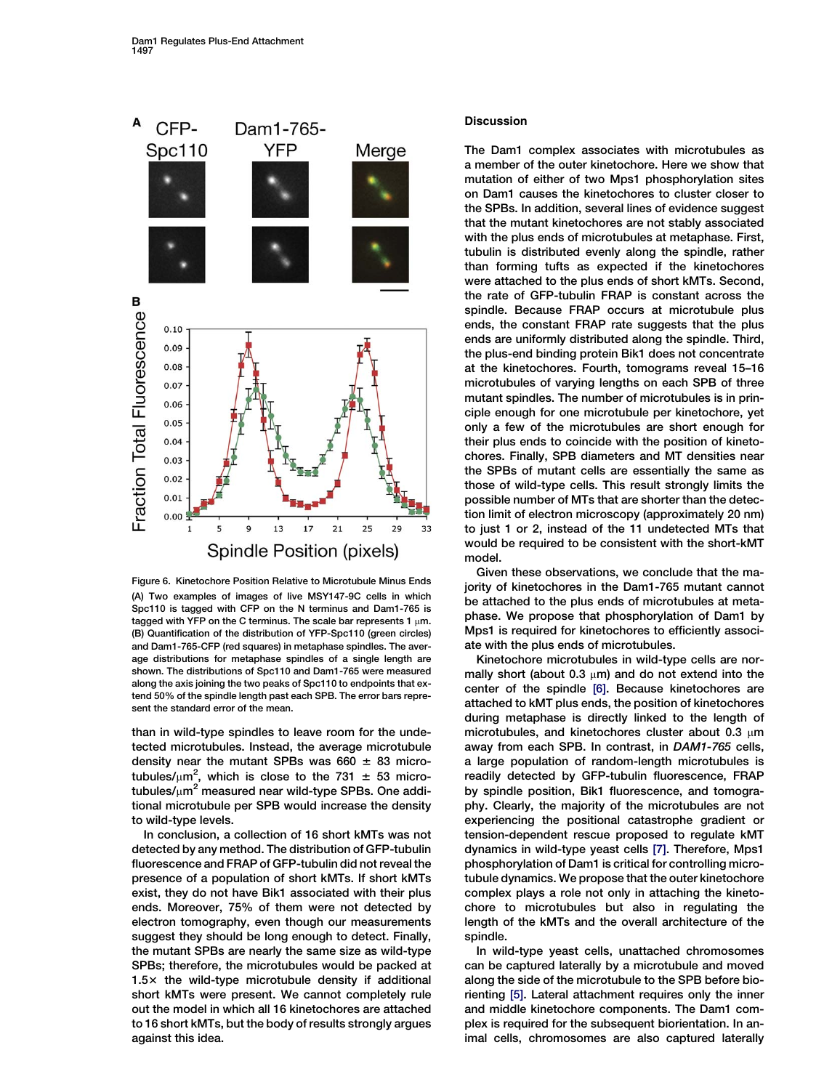<span id="page-8-0"></span>

Figure 6. Kinetochore Position Relative to Microtubule Minus Ends (A) Two examples of images of live MSY147-9C cells in which Spc110 is tagged with CFP on the N terminus and Dam1-765 is tagged with YFP on the C terminus. The scale bar represents 1  $\mu$ m. (B) Quantification of the distribution of YFP-Spc110 (green circles) and Dam1-765-CFP (red squares) in metaphase spindles. The average distributions for metaphase spindles of a single length are shown. The distributions of Spc110 and Dam1-765 were measured along the axis joining the two peaks of Spc110 to endpoints that extend 50% of the spindle length past each SPB. The error bars represent the standard error of the mean.

than in wild-type spindles to leave room for the undetected microtubules. Instead, the average microtubule density near the mutant SPBs was 660  $\pm$  83 microtubules/ $\mu$ m<sup>2</sup>, which is close to the 731  $\pm$  53 microtubules/ $\mu$ m<sup>2</sup> measured near wild-type SPBs. One additional microtubule per SPB would increase the density to wild-type levels.

In conclusion, a collection of 16 short kMTs was not detected by any method. The distribution of GFP-tubulin fluorescence and FRAP of GFP-tubulin did not reveal the presence of a population of short kMTs. If short kMTs exist, they do not have Bik1 associated with their plus ends. Moreover, 75% of them were not detected by electron tomography, even though our measurements suggest they should be long enough to detect. Finally, the mutant SPBs are nearly the same size as wild-type SPBs; therefore, the microtubules would be packed at  $1.5\times$  the wild-type microtubule density if additional short kMTs were present. We cannot completely rule out the model in which all 16 kinetochores are attached to 16 short kMTs, but the body of results strongly argues against this idea.

# **Discussion**

The Dam1 complex associates with microtubules as a member of the outer kinetochore. Here we show that mutation of either of two Mps1 phosphorylation sites on Dam1 causes the kinetochores to cluster closer to the SPBs. In addition, several lines of evidence suggest that the mutant kinetochores are not stably associated with the plus ends of microtubules at metaphase. First, tubulin is distributed evenly along the spindle, rather than forming tufts as expected if the kinetochores were attached to the plus ends of short kMTs. Second, the rate of GFP-tubulin FRAP is constant across the spindle. Because FRAP occurs at microtubule plus ends, the constant FRAP rate suggests that the plus ends are uniformly distributed along the spindle. Third, the plus-end binding protein Bik1 does not concentrate at the kinetochores. Fourth, tomograms reveal 15–16 microtubules of varying lengths on each SPB of three mutant spindles. The number of microtubules is in principle enough for one microtubule per kinetochore, yet only a few of the microtubules are short enough for their plus ends to coincide with the position of kinetochores. Finally, SPB diameters and MT densities near the SPBs of mutant cells are essentially the same as those of wild-type cells. This result strongly limits the possible number of MTs that are shorter than the detection limit of electron microscopy (approximately 20 nm) to just 1 or 2, instead of the 11 undetected MTs that would be required to be consistent with the short-kMT model.

Given these observations, we conclude that the majority of kinetochores in the Dam1-765 mutant cannot be attached to the plus ends of microtubules at metaphase. We propose that phosphorylation of Dam1 by Mps1 is required for kinetochores to efficiently associate with the plus ends of microtubules.

Kinetochore microtubules in wild-type cells are normally short (about 0.3  $\mu$ m) and do not extend into the center of the spindle [\[6\]](#page-11-0). Because kinetochores are attached to kMT plus ends, the position of kinetochores during metaphase is directly linked to the length of microtubules, and kinetochores cluster about 0.3  $\mu$ m away from each SPB. In contrast, in DAM1-765 cells, a large population of random-length microtubules is readily detected by GFP-tubulin fluorescence, FRAP by spindle position, Bik1 fluorescence, and tomography. Clearly, the majority of the microtubules are not experiencing the positional catastrophe gradient or tension-dependent rescue proposed to regulate kMT dynamics in wild-type yeast cells [\[7\].](#page-11-0) Therefore, Mps1 phosphorylation of Dam1 is critical for controlling microtubule dynamics. We propose that the outer kinetochore complex plays a role not only in attaching the kinetochore to microtubules but also in regulating the length of the kMTs and the overall architecture of the spindle.

In wild-type yeast cells, unattached chromosomes can be captured laterally by a microtubule and moved along the side of the microtubule to the SPB before biorienting [\[5\].](#page-11-0) Lateral attachment requires only the inner and middle kinetochore components. The Dam1 complex is required for the subsequent biorientation. In animal cells, chromosomes are also captured laterally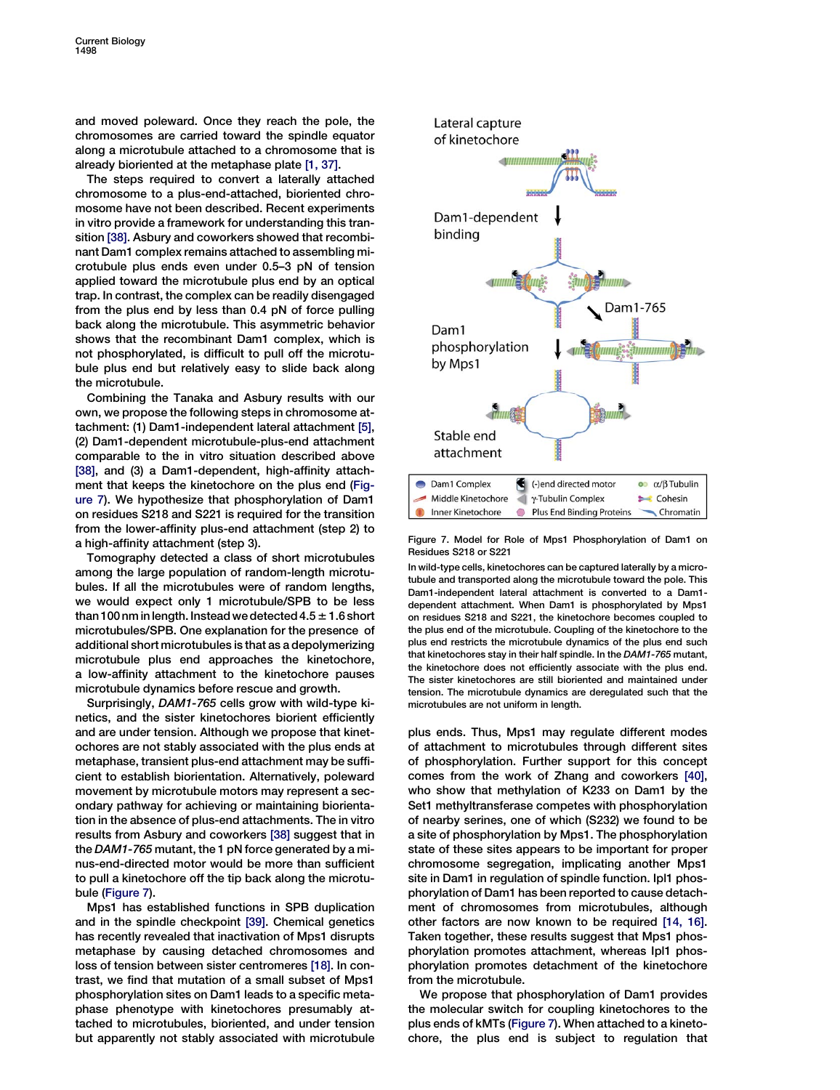and moved poleward. Once they reach the pole, the chromosomes are carried toward the spindle equator along a microtubule attached to a chromosome that is already bioriented at the metaphase plate [\[1, 37\].](#page-10-0)

The steps required to convert a laterally attached chromosome to a plus-end-attached, bioriented chromosome have not been described. Recent experiments in vitro provide a framework for understanding this transition [\[38\]](#page-11-0). Asbury and coworkers showed that recombinant Dam1 complex remains attached to assembling microtubule plus ends even under 0.5–3 pN of tension applied toward the microtubule plus end by an optical trap. In contrast, the complex can be readily disengaged from the plus end by less than 0.4 pN of force pulling back along the microtubule. This asymmetric behavior shows that the recombinant Dam1 complex, which is not phosphorylated, is difficult to pull off the microtubule plus end but relatively easy to slide back along the microtubule.

Combining the Tanaka and Asbury results with our own, we propose the following steps in chromosome attachment: (1) Dam1-independent lateral attachment [\[5\],](#page-11-0) (2) Dam1-dependent microtubule-plus-end attachment comparable to the in vitro situation described above [\[38\]](#page-11-0), and (3) a Dam1-dependent, high-affinity attachment that keeps the kinetochore on the plus end (Figure 7). We hypothesize that phosphorylation of Dam1 on residues S218 and S221 is required for the transition from the lower-affinity plus-end attachment (step 2) to a high-affinity attachment (step 3).

Tomography detected a class of short microtubules among the large population of random-length microtubules. If all the microtubules were of random lengths, we would expect only 1 microtubule/SPB to be less than 100 nm in length. Instead we detected  $4.5 \pm 1.6$  short microtubules/SPB. One explanation for the presence of additional short microtubules is that as a depolymerizing microtubule plus end approaches the kinetochore, a low-affinity attachment to the kinetochore pauses microtubule dynamics before rescue and growth.

Surprisingly, DAM1-765 cells grow with wild-type kinetics, and the sister kinetochores biorient efficiently and are under tension. Although we propose that kinetochores are not stably associated with the plus ends at metaphase, transient plus-end attachment may be sufficient to establish biorientation. Alternatively, poleward movement by microtubule motors may represent a secondary pathway for achieving or maintaining biorientation in the absence of plus-end attachments. The in vitro results from Asbury and coworkers [\[38\]](#page-11-0) suggest that in the DAM1-765 mutant, the 1 pN force generated by a minus-end-directed motor would be more than sufficient to pull a kinetochore off the tip back along the microtubule (Figure 7).

Mps1 has established functions in SPB duplication and in the spindle checkpoint [\[39\].](#page-11-0) Chemical genetics has recently revealed that inactivation of Mps1 disrupts metaphase by causing detached chromosomes and loss of tension between sister centromeres [\[18\]](#page-11-0). In contrast, we find that mutation of a small subset of Mps1 phosphorylation sites on Dam1 leads to a specific metaphase phenotype with kinetochores presumably attached to microtubules, bioriented, and under tension but apparently not stably associated with microtubule



Figure 7. Model for Role of Mps1 Phosphorylation of Dam1 on Residues S218 or S221

In wild-type cells, kinetochores can be captured laterally by a microtubule and transported along the microtubule toward the pole. This Dam1-independent lateral attachment is converted to a Dam1 dependent attachment. When Dam1 is phosphorylated by Mps1 on residues S218 and S221, the kinetochore becomes coupled to the plus end of the microtubule. Coupling of the kinetochore to the plus end restricts the microtubule dynamics of the plus end such that kinetochores stay in their half spindle. In the DAM1-765 mutant, the kinetochore does not efficiently associate with the plus end. The sister kinetochores are still bioriented and maintained under tension. The microtubule dynamics are deregulated such that the microtubules are not uniform in length.

plus ends. Thus, Mps1 may regulate different modes of attachment to microtubules through different sites of phosphorylation. Further support for this concept comes from the work of Zhang and coworkers [\[40\],](#page-11-0) who show that methylation of K233 on Dam1 by the Set1 methyltransferase competes with phosphorylation of nearby serines, one of which (S232) we found to be a site of phosphorylation by Mps1. The phosphorylation state of these sites appears to be important for proper chromosome segregation, implicating another Mps1 site in Dam1 in regulation of spindle function. Ipl1 phosphorylation of Dam1 has been reported to cause detachment of chromosomes from microtubules, although other factors are now known to be required [\[14, 16\].](#page-11-0) Taken together, these results suggest that Mps1 phosphorylation promotes attachment, whereas Ipl1 phosphorylation promotes detachment of the kinetochore from the microtubule.

We propose that phosphorylation of Dam1 provides the molecular switch for coupling kinetochores to the plus ends of kMTs (Figure 7). When attached to a kinetochore, the plus end is subject to regulation that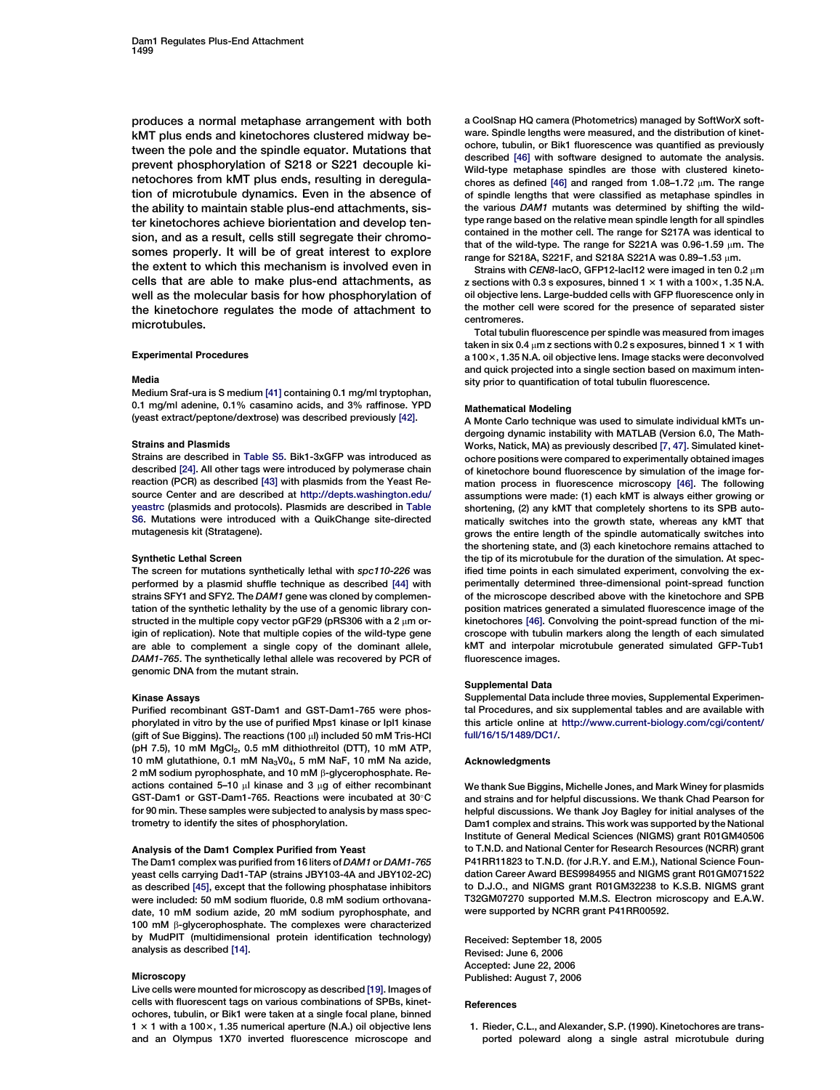<span id="page-10-0"></span>produces a normal metaphase arrangement with both kMT plus ends and kinetochores clustered midway between the pole and the spindle equator. Mutations that prevent phosphorylation of S218 or S221 decouple kinetochores from kMT plus ends, resulting in deregulation of microtubule dynamics. Even in the absence of the ability to maintain stable plus-end attachments, sister kinetochores achieve biorientation and develop tension, and as a result, cells still segregate their chromosomes properly. It will be of great interest to explore the extent to which this mechanism is involved even in cells that are able to make plus-end attachments, as well as the molecular basis for how phosphorylation of the kinetochore regulates the mode of attachment to microtubules.

## Experimental Procedures

#### Media

Medium Sraf-ura is S medium [\[41\]](#page-12-0) containing 0.1 mg/ml tryptophan, 0.1 mg/ml adenine, 0.1% casamino acids, and 3% raffinose. YPD (yeast extract/peptone/dextrose) was described previously [\[42\]](#page-12-0).

#### Strains and Plasmids

Strains are described in Table S5. Bik1-3xGFP was introduced as described [\[24\].](#page-11-0) All other tags were introduced by polymerase chain reaction (PCR) as described [\[43\]](#page-12-0) with plasmids from the Yeast Resource Center and are described at [http://depts.washington.edu/](http://depts.washington.edu/yeastrc) [yeastrc](http://depts.washington.edu/yeastrc) (plasmids and protocols). Plasmids are described in Table S6. Mutations were introduced with a QuikChange site-directed mutagenesis kit (Stratagene).

## Synthetic Lethal Screen

The screen for mutations synthetically lethal with spc110-226 was performed by a plasmid shuffle technique as described [\[44\]](#page-12-0) with strains SFY1 and SFY2. The DAM1 gene was cloned by complementation of the synthetic lethality by the use of a genomic library constructed in the multiple copy vector pGF29 (pRS306 with a 2  $\mu$ m origin of replication). Note that multiple copies of the wild-type gene are able to complement a single copy of the dominant allele, DAM1-765. The synthetically lethal allele was recovered by PCR of genomic DNA from the mutant strain.

## Kinase Assays

Purified recombinant GST-Dam1 and GST-Dam1-765 were phosphorylated in vitro by the use of purified Mps1 kinase or Ipl1 kinase (gift of Sue Biggins). The reactions (100  $\mu$ l) included 50 mM Tris-HCl (pH 7.5), 10 mM MgCl<sub>2</sub>, 0.5 mM dithiothreitol (DTT), 10 mM ATP, 10 mM glutathione, 0.1 mM  $Na<sub>3</sub>VO<sub>4</sub>$ , 5 mM NaF, 10 mM Na azide, 2 mM sodium pyrophosphate, and 10 mM ß-glycerophosphate. Reactions contained 5–10  $\mu$ l kinase and 3  $\mu$ g of either recombinant GST-Dam1 or GST-Dam1-765. Reactions were incubated at 30°C for 90 min. These samples were subjected to analysis by mass spectrometry to identify the sites of phosphorylation.

## Analysis of the Dam1 Complex Purified from Yeast

The Dam1 complex was purified from 16 liters of DAM1 or DAM1-765 yeast cells carrying Dad1-TAP (strains JBY103-4A and JBY102-2C) as described [\[45\]](#page-12-0), except that the following phosphatase inhibitors were included: 50 mM sodium fluoride, 0.8 mM sodium orthovanadate, 10 mM sodium azide, 20 mM sodium pyrophosphate, and 100 mM  $\beta$ -glycerophosphate. The complexes were characterized by MudPIT (multidimensional protein identification technology) analysis as described [\[14\]](#page-11-0).

## Microscopy

Live cells were mounted for microscopy as described [\[19\]](#page-11-0). Images of cells with fluorescent tags on various combinations of SPBs, kinetochores, tubulin, or Bik1 were taken at a single focal plane, binned  $1 \times 1$  with a 100 $\times$ , 1.35 numerical aperture (N.A.) oil objective lens and an Olympus 1X70 inverted fluorescence microscope and

a CoolSnap HQ camera (Photometrics) managed by SoftWorX software. Spindle lengths were measured, and the distribution of kinetochore, tubulin, or Bik1 fluorescence was quantified as previously described [\[46\]](#page-12-0) with software designed to automate the analysis. Wild-type metaphase spindles are those with clustered kinetochores as defined  $[46]$  and ranged from 1.08-1.72  $\mu$ m. The range of spindle lengths that were classified as metaphase spindles in the various DAM1 mutants was determined by shifting the wildtype range based on the relative mean spindle length for all spindles contained in the mother cell. The range for S217A was identical to that of the wild-type. The range for S221A was  $0.96$ -1.59  $\mu$ m. The range for S218A, S221F, and S218A S221A was 0.89-1.53 µm.

Strains with CEN8-lacO, GFP12-lacI12 were imaged in ten 0.2 um z sections with 0.3 s exposures, binned  $1 \times 1$  with a 100 $\times$ , 1.35 N.A. oil objective lens. Large-budded cells with GFP fluorescence only in the mother cell were scored for the presence of separated sister centromeres.

Total tubulin fluorescence per spindle was measured from images taken in six 0.4  $\mu$ m z sections with 0.2 s exposures, binned 1  $\times$  1 with a 100 x, 1.35 N.A. oil objective lens. Image stacks were deconvolved and quick projected into a single section based on maximum intensity prior to quantification of total tubulin fluorescence.

#### Mathematical Modeling

A Monte Carlo technique was used to simulate individual kMTs undergoing dynamic instability with MATLAB (Version 6.0, The Math-Works, Natick, MA) as previously described [\[7, 47\]](#page-11-0). Simulated kinetochore positions were compared to experimentally obtained images of kinetochore bound fluorescence by simulation of the image formation process in fluorescence microscopy [\[46\]](#page-12-0). The following assumptions were made: (1) each kMT is always either growing or shortening, (2) any kMT that completely shortens to its SPB automatically switches into the growth state, whereas any kMT that grows the entire length of the spindle automatically switches into the shortening state, and (3) each kinetochore remains attached to the tip of its microtubule for the duration of the simulation. At specified time points in each simulated experiment, convolving the experimentally determined three-dimensional point-spread function of the microscope described above with the kinetochore and SPB position matrices generated a simulated fluorescence image of the kinetochores [\[46\].](#page-12-0) Convolving the point-spread function of the microscope with tubulin markers along the length of each simulated kMT and interpolar microtubule generated simulated GFP-Tub1 fluorescence images.

#### Supplemental Data

Supplemental Data include three movies, Supplemental Experimental Procedures, and six supplemental tables and are available with this article online at [http://www.current-biology.com/cgi/content/](http://www.current-biology.com/cgi/content/full/16/15/1489/DC1/) [full/16/15/1489/DC1/](http://www.current-biology.com/cgi/content/full/16/15/1489/DC1/).

## Acknowledgments

We thank Sue Biggins, Michelle Jones, and Mark Winey for plasmids and strains and for helpful discussions. We thank Chad Pearson for helpful discussions. We thank Joy Bagley for initial analyses of the Dam1 complex and strains. This work was supported by the National Institute of General Medical Sciences (NIGMS) grant R01GM40506 to T.N.D. and National Center for Research Resources (NCRR) grant P41RR11823 to T.N.D. (for J.R.Y. and E.M.), National Science Foundation Career Award BES9984955 and NIGMS grant R01GM071522 to D.J.O., and NIGMS grant R01GM32238 to K.S.B. NIGMS grant T32GM07270 supported M.M.S. Electron microscopy and E.A.W. were supported by NCRR grant P41RR00592.

Received: September 18, 2005 Revised: June 6, 2006 Accepted: June 22, 2006 Published: August 7, 2006

#### References

1. Rieder, C.L., and Alexander, S.P. (1990). Kinetochores are transported poleward along a single astral microtubule during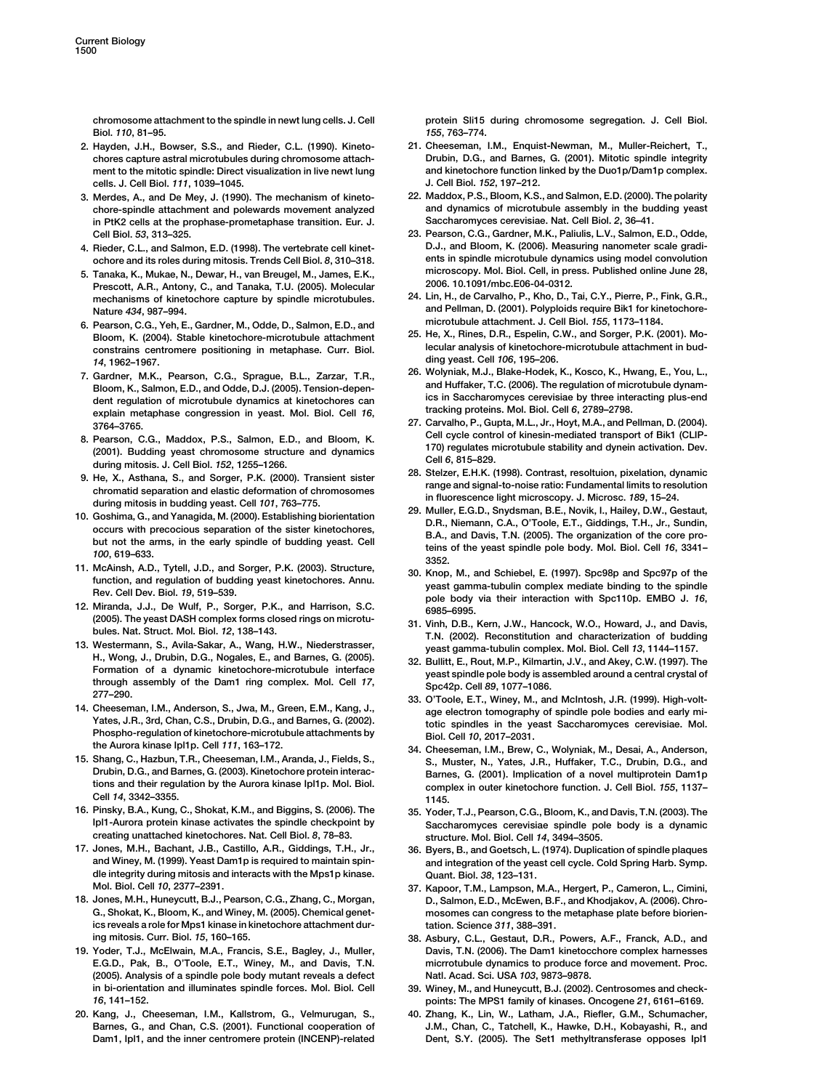<span id="page-11-0"></span>chromosome attachment to the spindle in newt lung cells. J. Cell Biol. 110, 81–95.

- 2. Hayden, J.H., Bowser, S.S., and Rieder, C.L. (1990). Kinetochores capture astral microtubules during chromosome attachment to the mitotic spindle: Direct visualization in live newt lung cells. J. Cell Biol. 111, 1039–1045.
- 3. Merdes, A., and De Mey, J. (1990). The mechanism of kinetochore-spindle attachment and polewards movement analyzed in PtK2 cells at the prophase-prometaphase transition. Eur. J. Cell Biol. 53, 313–325.
- 4. Rieder, C.L., and Salmon, E.D. (1998). The vertebrate cell kinetochore and its roles during mitosis. Trends Cell Biol. 8, 310–318.
- 5. Tanaka, K., Mukae, N., Dewar, H., van Breugel, M., James, E.K., Prescott, A.R., Antony, C., and Tanaka, T.U. (2005). Molecular mechanisms of kinetochore capture by spindle microtubules. Nature 434, 987–994.
- 6. Pearson, C.G., Yeh, E., Gardner, M., Odde, D., Salmon, E.D., and Bloom, K. (2004). Stable kinetochore-microtubule attachment constrains centromere positioning in metaphase. Curr. Biol. 14, 1962–1967.
- 7. Gardner, M.K., Pearson, C.G., Sprague, B.L., Zarzar, T.R., Bloom, K., Salmon, E.D., and Odde, D.J. (2005). Tension-dependent regulation of microtubule dynamics at kinetochores can explain metaphase congression in yeast. Mol. Biol. Cell 16, 3764–3765.
- 8. Pearson, C.G., Maddox, P.S., Salmon, E.D., and Bloom, K. (2001). Budding yeast chromosome structure and dynamics during mitosis. J. Cell Biol. 152, 1255–1266.
- 9. He, X., Asthana, S., and Sorger, P.K. (2000). Transient sister chromatid separation and elastic deformation of chromosomes during mitosis in budding yeast. Cell 101, 763–775.
- 10. Goshima, G., and Yanagida, M. (2000). Establishing biorientation occurs with precocious separation of the sister kinetochores, but not the arms, in the early spindle of budding yeast. Cell 100, 619–633.
- 11. McAinsh, A.D., Tytell, J.D., and Sorger, P.K. (2003). Structure, function, and regulation of budding yeast kinetochores. Annu. Rev. Cell Dev. Biol. 19, 519–539.
- 12. Miranda, J.J., De Wulf, P., Sorger, P.K., and Harrison, S.C. (2005). The yeast DASH complex forms closed rings on microtubules. Nat. Struct. Mol. Biol. 12, 138–143.
- 13. Westermann, S., Avila-Sakar, A., Wang, H.W., Niederstrasser, H., Wong, J., Drubin, D.G., Nogales, E., and Barnes, G. (2005). Formation of a dynamic kinetochore-microtubule interface through assembly of the Dam1 ring complex. Mol. Cell 17, 277–290.
- 14. Cheeseman, I.M., Anderson, S., Jwa, M., Green, E.M., Kang, J., Yates, J.R., 3rd, Chan, C.S., Drubin, D.G., and Barnes, G. (2002). Phospho-regulation of kinetochore-microtubule attachments by the Aurora kinase Ipl1p. Cell 111, 163–172.
- 15. Shang, C., Hazbun, T.R., Cheeseman, I.M., Aranda, J., Fields, S., Drubin, D.G., and Barnes, G. (2003). Kinetochore protein interactions and their regulation by the Aurora kinase Ipl1p. Mol. Biol. Cell 14, 3342–3355.
- 16. Pinsky, B.A., Kung, C., Shokat, K.M., and Biggins, S. (2006). The Ipl1-Aurora protein kinase activates the spindle checkpoint by creating unattached kinetochores. Nat. Cell Biol. 8, 78–83.
- 17. Jones, M.H., Bachant, J.B., Castillo, A.R., Giddings, T.H., Jr., and Winey, M. (1999). Yeast Dam1p is required to maintain spindle integrity during mitosis and interacts with the Mps1p kinase. Mol. Biol. Cell 10, 2377–2391.
- 18. Jones, M.H., Huneycutt, B.J., Pearson, C.G., Zhang, C., Morgan, G., Shokat, K., Bloom, K., and Winey, M. (2005). Chemical genetics reveals a role for Mps1 kinase in kinetochore attachment during mitosis. Curr. Biol. 15, 160–165.
- 19. Yoder, T.J., McElwain, M.A., Francis, S.E., Bagley, J., Muller, E.G.D., Pak, B., O'Toole, E.T., Winey, M., and Davis, T.N. (2005). Analysis of a spindle pole body mutant reveals a defect in bi-orientation and illuminates spindle forces. Mol. Biol. Cell 16, 141–152.
- 20. Kang, J., Cheeseman, I.M., Kallstrom, G., Velmurugan, S., Barnes, G., and Chan, C.S. (2001). Functional cooperation of Dam1, Ipl1, and the inner centromere protein (INCENP)-related

protein Sli15 during chromosome segregation. J. Cell Biol. 155, 763–774.

- 21. Cheeseman, I.M., Enquist-Newman, M., Muller-Reichert, T., Drubin, D.G., and Barnes, G. (2001). Mitotic spindle integrity and kinetochore function linked by the Duo1p/Dam1p complex. J. Cell Biol. 152, 197–212.
- 22. Maddox, P.S., Bloom, K.S., and Salmon, E.D. (2000). The polarity and dynamics of microtubule assembly in the budding yeast Saccharomyces cerevisiae. Nat. Cell Biol. 2, 36–41.
- 23. Pearson, C.G., Gardner, M.K., Paliulis, L.V., Salmon, E.D., Odde, D.J., and Bloom, K. (2006). Measuring nanometer scale gradients in spindle microtubule dynamics using model convolution microscopy. Mol. Biol. Cell, in press. Published online June 28, 2006. 10.1091/mbc.E06-04-0312.
- 24. Lin, H., de Carvalho, P., Kho, D., Tai, C.Y., Pierre, P., Fink, G.R., and Pellman, D. (2001). Polyploids require Bik1 for kinetochoremicrotubule attachment. J. Cell Biol. 155, 1173–1184.
- 25. He, X., Rines, D.R., Espelin, C.W., and Sorger, P.K. (2001). Molecular analysis of kinetochore-microtubule attachment in budding yeast. Cell 106, 195–206.
- 26. Wolyniak, M.J., Blake-Hodek, K., Kosco, K., Hwang, E., You, L., and Huffaker, T.C. (2006). The regulation of microtubule dynamics in Saccharomyces cerevisiae by three interacting plus-end tracking proteins. Mol. Biol. Cell 6, 2789–2798.
- 27. Carvalho, P., Gupta, M.L., Jr., Hoyt, M.A., and Pellman, D. (2004). Cell cycle control of kinesin-mediated transport of Bik1 (CLIP-170) regulates microtubule stability and dynein activation. Dev. Cell 6, 815–829.
- 28. Stelzer, E.H.K. (1998). Contrast, resoltuion, pixelation, dynamic range and signal-to-noise ratio: Fundamental limits to resolution in fluorescence light microscopy. J. Microsc. 189, 15–24.
- 29. Muller, E.G.D., Snydsman, B.E., Novik, I., Hailey, D.W., Gestaut, D.R., Niemann, C.A., O'Toole, E.T., Giddings, T.H., Jr., Sundin, B.A., and Davis, T.N. (2005). The organization of the core proteins of the yeast spindle pole body. Mol. Biol. Cell 16, 3341– 3352.
- 30. Knop, M., and Schiebel, E. (1997). Spc98p and Spc97p of the yeast gamma-tubulin complex mediate binding to the spindle pole body via their interaction with Spc110p. EMBO J. 16, 6985–6995.
- 31. Vinh, D.B., Kern, J.W., Hancock, W.O., Howard, J., and Davis, T.N. (2002). Reconstitution and characterization of budding yeast gamma-tubulin complex. Mol. Biol. Cell 13, 1144–1157.
- 32. Bullitt, E., Rout, M.P., Kilmartin, J.V., and Akey, C.W. (1997). The yeast spindle pole body is assembled around a central crystal of Spc42p. Cell 89, 1077–1086.
- 33. O'Toole, E.T., Winey, M., and McIntosh, J.R. (1999). High-voltage electron tomography of spindle pole bodies and early mitotic spindles in the yeast Saccharomyces cerevisiae. Mol. Biol. Cell 10, 2017–2031.
- 34. Cheeseman, I.M., Brew, C., Wolyniak, M., Desai, A., Anderson, S., Muster, N., Yates, J.R., Huffaker, T.C., Drubin, D.G., and Barnes, G. (2001). Implication of a novel multiprotein Dam1p complex in outer kinetochore function. J. Cell Biol. 155, 1137– 1145.
- 35. Yoder, T.J., Pearson, C.G., Bloom, K., and Davis, T.N. (2003). The Saccharomyces cerevisiae spindle pole body is a dynamic structure. Mol. Biol. Cell 14, 3494–3505.
- 36. Byers, B., and Goetsch, L. (1974). Duplication of spindle plaques and integration of the yeast cell cycle. Cold Spring Harb. Symp. Quant. Biol. 38, 123–131.
- 37. Kapoor, T.M., Lampson, M.A., Hergert, P., Cameron, L., Cimini, D., Salmon, E.D., McEwen, B.F., and Khodjakov, A. (2006). Chromosomes can congress to the metaphase plate before biorientation. Science 311, 388–391.
- 38. Asbury, C.L., Gestaut, D.R., Powers, A.F., Franck, A.D., and Davis, T.N. (2006). The Dam1 kinetocchore complex harnesses micrrotubule dynamics to produce force and movement. Proc. Natl. Acad. Sci. USA 103, 9873–9878.
- 39. Winey, M., and Huneycutt, B.J. (2002). Centrosomes and checkpoints: The MPS1 family of kinases. Oncogene 21, 6161–6169.
- 40. Zhang, K., Lin, W., Latham, J.A., Riefler, G.M., Schumacher, J.M., Chan, C., Tatchell, K., Hawke, D.H., Kobayashi, R., and Dent, S.Y. (2005). The Set1 methyltransferase opposes Ipl1